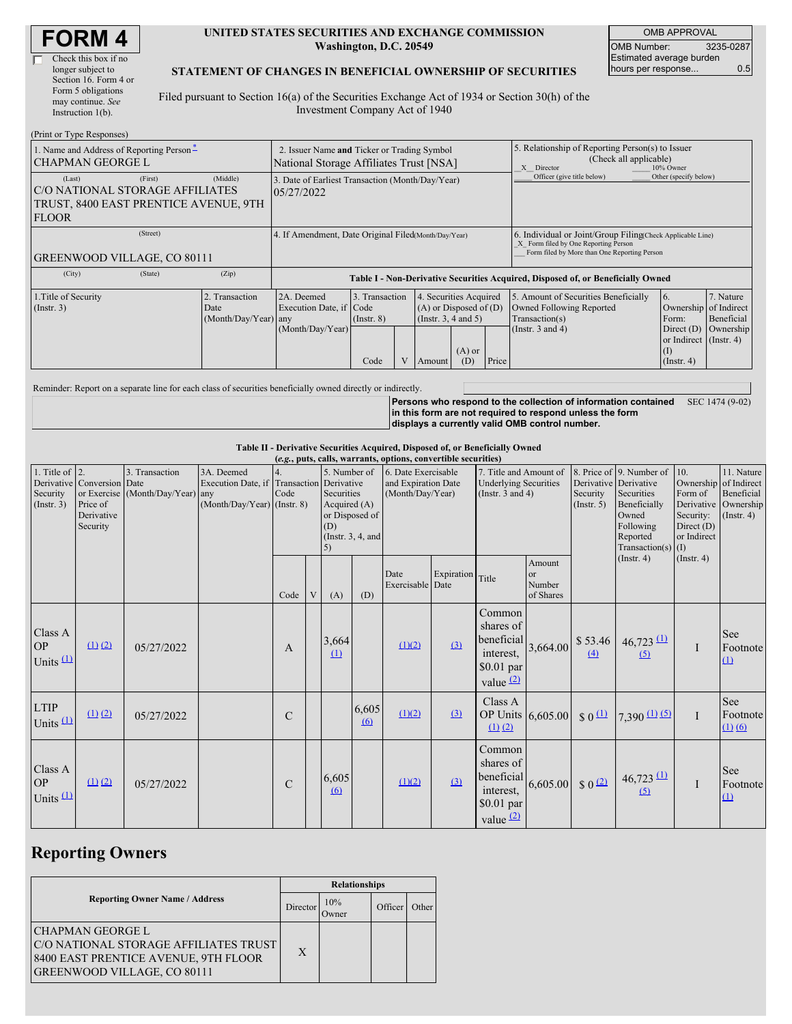#### **UNITED STATES SECURITIES AND EXCHANGE COMMISSION Washington, D.C. 20549**

OMB APPROVAL OMB Number: 3235-0287 Estimated average burden hours per response... 0.5

#### **STATEMENT OF CHANGES IN BENEFICIAL OWNERSHIP OF SECURITIES**

Filed pursuant to Section 16(a) of the Securities Exchange Act of 1934 or Section 30(h) of the Investment Company Act of 1940

| (Print or Type Responses)                                                                          |                                                                                        |                      |                                                                                  |                                   |  |                                                                              |                                                                                                                                                              |       |                                                                                                                                                    |                                                                         |                         |  |
|----------------------------------------------------------------------------------------------------|----------------------------------------------------------------------------------------|----------------------|----------------------------------------------------------------------------------|-----------------------------------|--|------------------------------------------------------------------------------|--------------------------------------------------------------------------------------------------------------------------------------------------------------|-------|----------------------------------------------------------------------------------------------------------------------------------------------------|-------------------------------------------------------------------------|-------------------------|--|
| 1. Name and Address of Reporting Person-<br><b>CHAPMAN GEORGE L</b>                                | 2. Issuer Name and Ticker or Trading Symbol<br>National Storage Affiliates Trust [NSA] |                      |                                                                                  |                                   |  |                                                                              | 5. Relationship of Reporting Person(s) to Issuer<br>(Check all applicable)<br>10% Owner<br>X Director<br>Officer (give title below)<br>Other (specify below) |       |                                                                                                                                                    |                                                                         |                         |  |
| (Last)<br>C/O NATIONAL STORAGE AFFILIATES<br>TRUST, 8400 EAST PRENTICE AVENUE, 9TH<br><b>FLOOR</b> | 3. Date of Earliest Transaction (Month/Day/Year)<br>05/27/2022                         |                      |                                                                                  |                                   |  |                                                                              |                                                                                                                                                              |       |                                                                                                                                                    |                                                                         |                         |  |
| (Street)<br><b>GREENWOOD VILLAGE, CO 80111</b>                                                     |                                                                                        |                      | 4. If Amendment, Date Original Filed Month/Day/Year)                             |                                   |  |                                                                              |                                                                                                                                                              |       | 6. Individual or Joint/Group Filing(Check Applicable Line)<br>X Form filed by One Reporting Person<br>Form filed by More than One Reporting Person |                                                                         |                         |  |
| (City)                                                                                             | (State)                                                                                | (Zip)                | Table I - Non-Derivative Securities Acquired, Disposed of, or Beneficially Owned |                                   |  |                                                                              |                                                                                                                                                              |       |                                                                                                                                                    |                                                                         |                         |  |
| 1. Title of Security<br>2. Transaction<br>$($ Instr. 3 $)$<br>Date                                 |                                                                                        | (Month/Day/Year) any | 2A. Deemed<br>Execution Date, if Code                                            | 3. Transaction<br>$($ Instr. $8)$ |  | 4. Securities Acquired<br>$(A)$ or Disposed of $(D)$<br>(Insert. 3, 4 and 5) |                                                                                                                                                              |       | 5. Amount of Securities Beneficially<br><b>Owned Following Reported</b><br>Transaction(s)                                                          | 6.<br>Ownership of Indirect<br>Form:                                    | 7. Nature<br>Beneficial |  |
|                                                                                                    |                                                                                        |                      | (Month/Day/Year)                                                                 | Code                              |  | Amount                                                                       | $(A)$ or<br>(D)                                                                                                                                              | Price | (Instr. $3$ and $4$ )                                                                                                                              | Direct $(D)$<br>or Indirect $($ Instr. 4 $)$<br>(I)<br>$($ Instr. 4 $)$ | Ownership               |  |

Reminder: Report on a separate line for each class of securities beneficially owned directly or indirectly.

**Persons who respond to the collection of information contained** SEC 1474 (9-02) **in this form are not required to respond unless the form displays a currently valid OMB control number.**

**Table II - Derivative Securities Acquired, Disposed of, or Beneficially Owned**

|                                              | (e.g., puts, calls, warrants, options, convertible securities)   |                                                    |                                                                                          |               |  |                                                                                                     |                   |                                                                |            |                                                                                 |                                     |                                                  |                                                                                                                  |                                                                                                   |                                                           |
|----------------------------------------------|------------------------------------------------------------------|----------------------------------------------------|------------------------------------------------------------------------------------------|---------------|--|-----------------------------------------------------------------------------------------------------|-------------------|----------------------------------------------------------------|------------|---------------------------------------------------------------------------------|-------------------------------------|--------------------------------------------------|------------------------------------------------------------------------------------------------------------------|---------------------------------------------------------------------------------------------------|-----------------------------------------------------------|
| 1. Title of $ 2$ .<br>Security<br>(Instr. 3) | Derivative Conversion Date<br>Price of<br>Derivative<br>Security | 3. Transaction<br>or Exercise (Month/Day/Year) any | 3A. Deemed<br>Execution Date, if Transaction Derivative<br>$(Month/Day/Year)$ (Instr. 8) | Code          |  | 5. Number of<br>Securities<br>Acquired $(A)$<br>or Disposed of<br>(D)<br>(Instr. $3, 4$ , and<br>5) |                   | 6. Date Exercisable<br>and Expiration Date<br>(Month/Day/Year) |            | 7. Title and Amount of<br><b>Underlying Securities</b><br>(Instr. $3$ and $4$ ) |                                     | Derivative Derivative<br>Security<br>(Insert. 5) | 8. Price of 9. Number of<br>Securities<br>Beneficially<br>Owned<br>Following<br>Reported<br>Transaction(s) $(I)$ | 10.<br>Ownership of Indirect<br>Form of<br>Derivative<br>Security:<br>Direct $(D)$<br>or Indirect | 11. Nature<br>Beneficial<br>Ownership<br>$($ Instr. 4 $)$ |
|                                              |                                                                  |                                                    |                                                                                          | Code          |  | (A)                                                                                                 | (D)               | Date<br>Exercisable Date                                       | Expiration | Title                                                                           | Amount<br>or<br>Number<br>of Shares |                                                  | (Insert. 4)                                                                                                      | (Insert. 4)                                                                                       |                                                           |
| Class A<br><b>OP</b><br>Units $(1)$          | (1) (2)                                                          | 05/27/2022                                         |                                                                                          | A             |  | 3,664<br>$\Omega$                                                                                   |                   | (1)(2)                                                         | (3)        | Common<br>shares of<br>beneficial<br>interest,<br>$$0.01$ par<br>value $(2)$    |                                     | $3,664.00$ \$ 53.46<br>(4)                       | $46,723 \stackrel{(1)}{ }$<br>(5)                                                                                | $\mathbf I$                                                                                       | See<br>Footnote<br>(1)                                    |
| <b>LTIP</b><br>Units $(1)$                   | $(1)$ $(2)$                                                      | 05/27/2022                                         |                                                                                          | $\mathcal{C}$ |  |                                                                                                     | 6,605<br>$\omega$ | (1)(2)                                                         | $\Omega$   | Class A<br>OP Units 6,605.00<br>$(1)$ $(2)$                                     |                                     | $$0^{\textcircled{\textcirc}}$$                  | $7,390$ (1) (5)                                                                                                  | $\mathbf{I}$                                                                                      | See<br>Footnote<br>(1) (6)                                |
| Class A<br><b>OP</b><br>Units $(1)$          | (1) (2)                                                          | 05/27/2022                                         |                                                                                          | $\mathcal{C}$ |  | 6,605<br>$\omega$                                                                                   |                   | (1)(2)                                                         | (3)        | Common<br>shares of<br>beneficial<br>interest,<br>\$0.01 par<br>value $(2)$     | 6,605.00                            | $$0$ <sup>(2)</sup>                              | $46,723 \stackrel{(1)}{ }$<br>(5)                                                                                |                                                                                                   | See<br>Footnote<br>(1)                                    |

# **Reporting Owners**

|                                                                                                                                                | <b>Relationships</b> |              |         |       |  |  |  |
|------------------------------------------------------------------------------------------------------------------------------------------------|----------------------|--------------|---------|-------|--|--|--|
| <b>Reporting Owner Name / Address</b>                                                                                                          | Director             | 10%<br>Owner | Officer | Other |  |  |  |
| <b>CHAPMAN GEORGE L</b><br>C/O NATIONAL STORAGE AFFILIATES TRUST<br>8400 EAST PRENTICE AVENUE, 9TH FLOOR<br><b>GREENWOOD VILLAGE, CO 80111</b> | X                    |              |         |       |  |  |  |